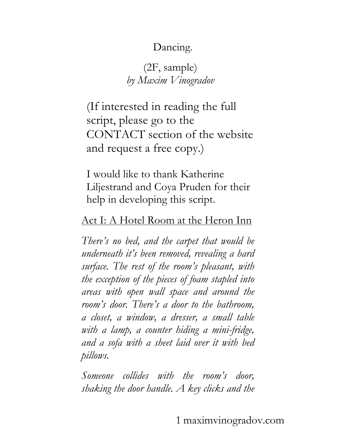# Dancing.

# (2F, sample) *by Maxim Vinogradov*

(If interested in reading the full script, please go to the CONTACT section of the website and request a free copy.)

I would like to thank Katherine Liljestrand and Coya Pruden for their help in developing this script.

# Act I: A Hotel Room at the Heron Inn

*There's no bed, and the carpet that would be underneath it's been removed, revealing a hard surface. The rest of the room's pleasant, with the exception of the pieces of foam stapled into areas with open wall space and around the room's door. There's a door to the bathroom, a closet, a window, a dresser, a small table with a lamp, a counter hiding a mini-fridge, and a sofa with a sheet laid over it with bed pillows.*

*Someone collides with the room's door, shaking the door handle. A key clicks and the*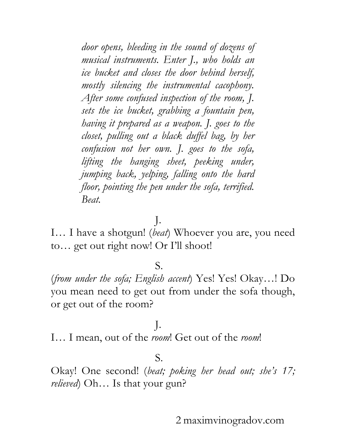*door opens, bleeding in the sound of dozens of musical instruments. Enter J., who holds an ice bucket and closes the door behind herself, mostly silencing the instrumental cacophony. After some confused inspection of the room, J. sets the ice bucket, grabbing a fountain pen, having it prepared as a weapon. J. goes to the closet, pulling out a black duffel bag, by her confusion not her own. J. goes to the sofa, lifting the hanging sheet, peeking under, jumping back, yelping, falling onto the hard floor, pointing the pen under the sofa, terrified. Beat.*

J.

I… I have a shotgun! (*beat*) Whoever you are, you need to… get out right now! Or I'll shoot!

#### S.

(*from under the sofa; English accent*) Yes! Yes! Okay…! Do you mean need to get out from under the sofa though, or get out of the room?

# J.

I… I mean, out of the *room*! Get out of the *room*!

#### S.

Okay! One second! (*beat; poking her head out; she's 17; relieved*) Oh… Is that your gun?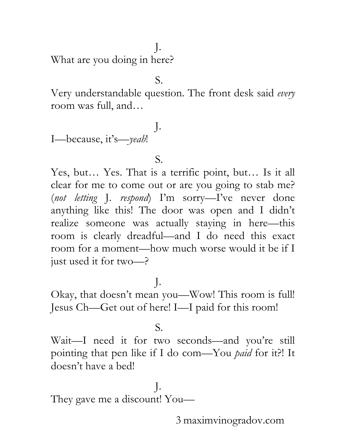J.

What are you doing in here?

S.

Very understandable question. The front desk said *every* room was full, and…

I—because, it's—*yeah*!

S.

J.

Yes, but… Yes. That is a terrific point, but… Is it all clear for me to come out or are you going to stab me? (*not letting* J. *respond*) I'm sorry—I've never done anything like this! The door was open and I didn't realize someone was actually staying in here—this room is clearly dreadful—and I do need this exact room for a moment—how much worse would it be if I just used it for two—?

J.

Okay, that doesn't mean you—Wow! This room is full! Jesus Ch—Get out of here! I—I paid for this room!

S.

Wait—I need it for two seconds—and you're still pointing that pen like if I do com—You *paid* for it?! It doesn't have a bed!

J. They gave me a discount! You—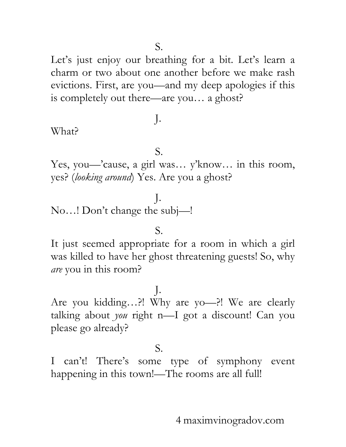Let's just enjoy our breathing for a bit. Let's learn a charm or two about one another before we make rash evictions. First, are you—and my deep apologies if this is completely out there—are you… a ghost?

## What?

S.

J.

Yes, you—'cause, a girl was… y 'know… in this room, yes? (*looking around*) Yes. Are you a ghost?

# J.

No…! Don't change the subj—!

#### S.

It just seemed appropriate for a room in which a girl was killed to have her ghost threatening guests! So, why *are* you in this room?

J. Are you kidding…?! Why are yo—?! We are clearly talking about *you* right n—I got a discount! Can you please go already?

#### S.

I can't! There's some type of symphony event happening in this town!—The rooms are all full!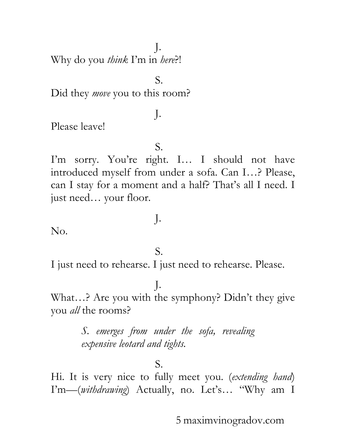J. Why do you *think* I'm in *here*?!

Did they *move* you to this room?

Please leave!

S.

S.

J.

I'm sorry. You're right. I... I should not have introduced myself from under a sofa. Can I…? Please, can I stay for a moment and a half? That's all I need. I just need… your floor.

No.

#### S.

J.

I just need to rehearse. I just need to rehearse. Please.

#### J.

What…? Are you with the symphony? Didn't they give you *all* the rooms?

> *S. emerges from under the sofa, revealing expensive leotard and tights.*

#### S.

Hi. It is very nice to fully meet you. (*extending hand*) I'm—(*withdrawing*) Actually, no. Let's… "Why am I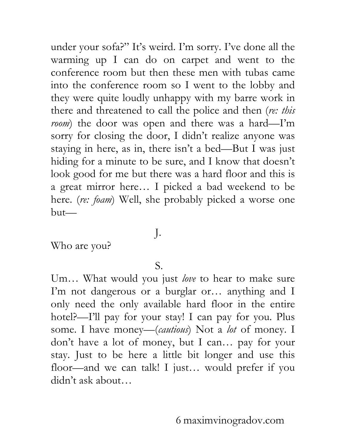under your sofa?" It's weird. I'm sorry. I've done all the warming up I can do on carpet and went to the conference room but then these men with tubas came into the conference room so I went to the lobby and they were quite loudly unhappy with my barre work in there and threatened to call the police and then (*re: this room*) the door was open and there was a hard—I'm sorry for closing the door, I didn't realize anyone was staying in here, as in, there isn't a bed—But I was just hiding for a minute to be sure, and I know that doesn't look good for me but there was a hard floor and this is a great mirror here… I picked a bad weekend to be here. (*re: foam*) Well, she probably picked a worse one but—

# J.

Who are you?

#### S.

Um… What would you just *love* to hear to make sure I'm not dangerous or a burglar or… anything and I only need the only available hard floor in the entire hotel?—I'll pay for your stay! I can pay for you. Plus some. I have money—(*cautious*) Not a *lot* of money. I don't have a lot of money, but I can… pay for your stay. Just to be here a little bit longer and use this floor—and we can talk! I just… would prefer if you didn't ask about…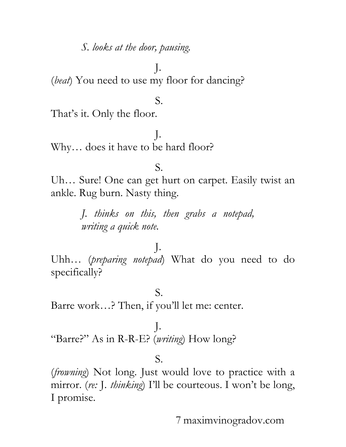*S. looks at the door, pausing.*

J. (*beat*) You need to use my floor for dancing?

#### S.

That's it. Only the floor.

J. Why… does it have to be hard floor?

#### S.

Uh… Sure! One can get hurt on carpet. Easily twist an ankle. Rug burn. Nasty thing.

> *J. thinks on this, then grabs a notepad, writing a quick note.*

## J.

Uhh… (*preparing notepad*) What do you need to do specifically?

S. Barre work…? Then, if you'll let me: center.

J. "Barre?" As in R-R-E? (*writing*) How long?

#### S.

(*frowning*) Not long. Just would love to practice with a mirror. (*re:* J. *thinking*) I'll be courteous. I won't be long, I promise.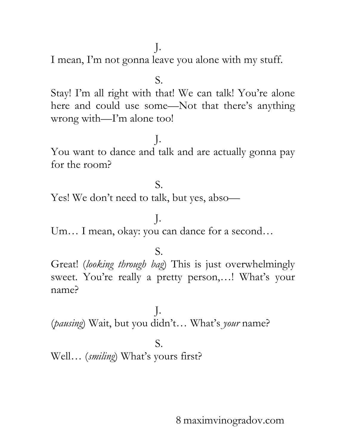J. I mean, I'm not gonna leave you alone with my stuff.

S.

Stay! I'm all right with that! We can talk! You're alone here and could use some—Not that there's anything wrong with—I'm alone too!

J. You want to dance and talk and are actually gonna pay for the room?

## S.

Yes! We don't need to talk, but yes, abso—

Um… I mean, okay: you can dance for a second…

J.

#### S.

Great! (*looking through bag*) This is just overwhelmingly sweet. You're really a pretty person,…! What's your name?

J. (*pausing*) Wait, but you didn't… What's *your* name?

#### S.

Well… (*smiling*) What's yours first?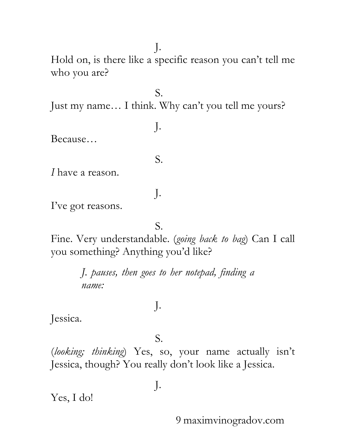J. Hold on, is there like a specific reason you can't tell me who you are?

Just my name… I think. Why can't you tell me yours?

S.

J.

S.

J.

Because…

*I* have a reason.

I've got reasons.

S.

Fine. Very understandable. (*going back to bag*) Can I call you something? Anything you'd like?

> *J. pauses, then goes to her notepad, finding a name:*

Jessica.

S.

J.

(*looking; thinking*) Yes, so, your name actually isn't Jessica, though? You really don't look like a Jessica.

J.

Yes, I do!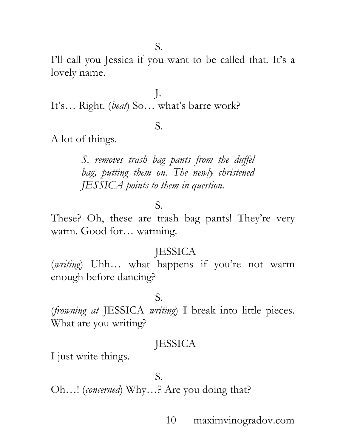I'll call you Jessica if you want to be called that. It's a lovely name.

J. It's… Right. (*beat*) So… what's barre work?

#### S.

A lot of things.

*S. removes trash bag pants from the duffel bag, putting them on. The newly christened JESSICA points to them in question.*

#### S.

These? Oh, these are trash bag pants! They're very warm. Good for… warming.

#### **JESSICA**

(*writing*) Uhh… what happens if you're not warm enough before dancing?

#### S.

(*frowning at* JESSICA *writing*) I break into little pieces. What are you writing?

## **JESSICA**

I just write things.

#### S.

Oh…! (*concerned*) Why…? Are you doing that?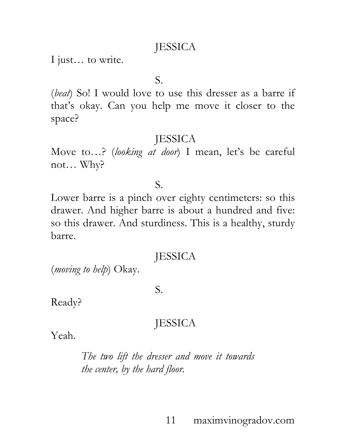I just… to write.

S.

(*beat*) So! I would love to use this dresser as a barre if that's okay. Can you help me move it closer to the space?

## **JESSICA**

Move to…? (*looking at door*) I mean, let's be careful not… Why?

S.

Lower barre is a pinch over eighty centimeters: so this drawer. And higher barre is about a hundred and five: so this drawer. And sturdiness. This is a healthy, sturdy barre.

## **JESSICA**

(*moving to help*) Okay.

S.

Ready?

# **JESSICA**

Yeah.

*The two lift the dresser and move it towards the center, by the hard floor.*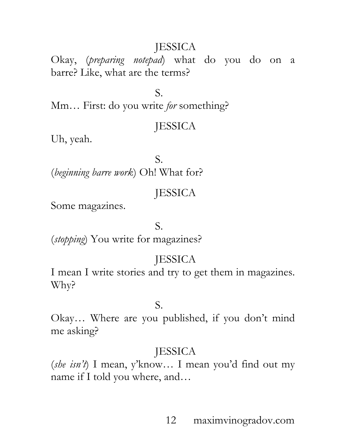Okay, (*preparing notepad*) what do you do on a barre? Like, what are the terms?

S.

Mm… First: do you write *for* something?

# **JESSICA**

Uh, yeah.

S. (*beginning barre work*) Oh! What for?

# **JESSICA**

Some magazines.

## S.

(*stopping*) You write for magazines?

# **JESSICA**

I mean I write stories and try to get them in magazines. Why?

## S.

Okay… Where are you published, if you don't mind me asking?

# **JESSICA**

(*she isn't*) I mean, y'know… I mean you'd find out my name if I told you where, and…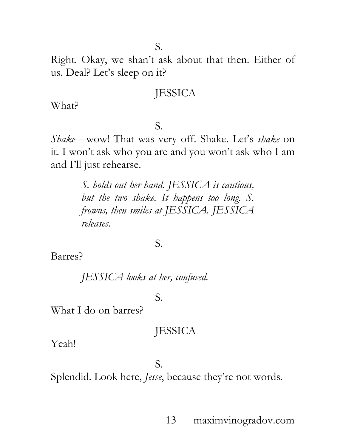Right. Okay, we shan't ask about that then. Either of us. Deal? Let's sleep on it?

## **JESSICA**

What?

#### S.

*Shake*—wow! That was very off. Shake. Let's *shake* on it. I won't ask who you are and you won't ask who I am and I'll just rehearse.

> *S. holds out her hand. JESSICA is cautious, but the two shake. It happens too long. S. frowns, then smiles at JESSICA. JESSICA releases.*

#### S.

Barres?

*JESSICA looks at her, confused.*

S.

What I do on barres?

## **JESSICA**

Yeah!

S.

Splendid. Look here, *Jesse*, because they're not words.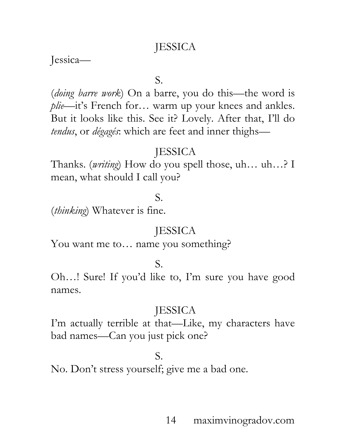Jessica—

S.

(*doing barre work*) On a barre, you do this—the word is *plie*—it's French for… warm up your knees and ankles. But it looks like this. See it? Lovely. After that, I'll do *tendus*, or *dégagés*: which are feet and inner thighs—

## **IESSICA**

Thanks. (*writing*) How do you spell those, uh… uh…? I mean, what should I call you?

### S.

(*thinking*) Whatever is fine.

### **JESSICA**

You want me to... name you something?

S.

Oh…! Sure! If you'd like to, I'm sure you have good names.

## **JESSICA**

I'm actually terrible at that—Like, my characters have bad names—Can you just pick one?

## S.

No. Don't stress yourself; give me a bad one.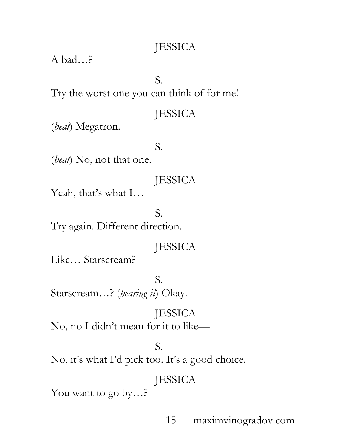A bad…?

S.

Try the worst one you can think of for me!

## **JESSICA**

(*beat*) Megatron.

S.

(*beat*) No, not that one.

## **JESSICA**

Yeah, that's what I…

S. Try again. Different direction.

# **JESSICA**

Like… Starscream?

# S.

Starscream…? (*hearing it*) Okay.

# **JESSICA** No, no I didn't mean for it to like—

## S.

No, it's what I'd pick too. It's a good choice.

# JESSICA

You want to go by…?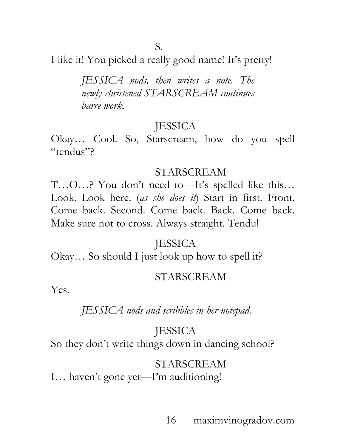I like it! You picked a really good name! It's pretty!

*JESSICA nods, then writes a note. The newly christened STARSCREAM continues barre work.*

## **JESSICA**

Okay… Cool. So, Starscream, how do you spell "tendus"?

#### STARSCREAM

T…O…? You don't need to—It's spelled like this… Look. Look here. (*as she does it*) Start in first. Front. Come back. Second. Come back. Back. Come back. Make sure not to cross. Always straight. Tendu!

## **JESSICA**

Okay… So should I just look up how to spell it?

#### STARSCREAM

Yes.

## *JESSICA nods and scribbles in her notepad.*

## **JESSICA**

So they don't write things down in dancing school?

#### STARSCREAM

I… haven't gone yet—I'm auditioning!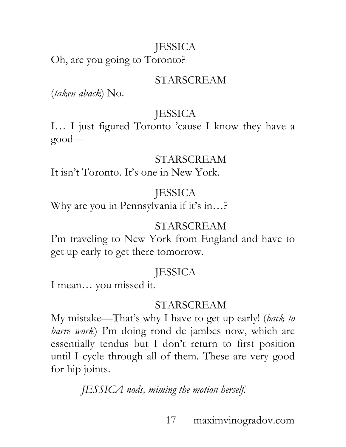Oh, are you going to Toronto?

## STARSCREAM

(*taken aback*) No.

# **JESSICA**

I… I just figured Toronto 'cause I know they have a good—

## STARSCREAM

It isn't Toronto. It's one in New York.

# **IESSICA**

Why are you in Pennsylvania if it's in…?

# STARSCREAM

I'm traveling to New York from England and have to get up early to get there tomorrow.

# **JESSICA**

I mean… you missed it.

# STARSCREAM

My mistake—That's why I have to get up early! (*back to barre work*) I'm doing rond de jambes now, which are essentially tendus but I don't return to first position until I cycle through all of them. These are very good for hip joints.

*JESSICA nods, miming the motion herself.*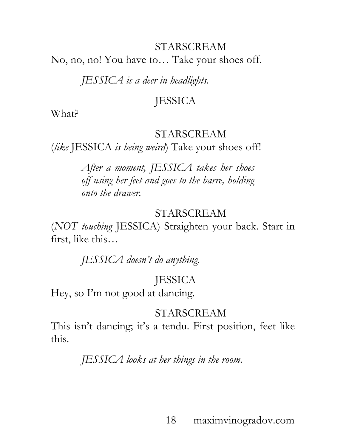#### STARSCREAM

No, no, no! You have to… Take your shoes off.

*JESSICA is a deer in headlights.* 

## **JESSICA**

What?

#### STARSCREAM

(*like* JESSICA *is being weird*) Take your shoes off!

*After a moment, JESSICA takes her shoes off using her feet and goes to the barre, holding onto the drawer.*

#### STARSCREAM

(*NOT touching* JESSICA) Straighten your back. Start in first, like this…

*JESSICA doesn't do anything.*

## **JESSICA**

Hey, so I'm not good at dancing.

#### STARSCREAM

This isn't dancing; it's a tendu. First position, feet like this.

*JESSICA looks at her things in the room.*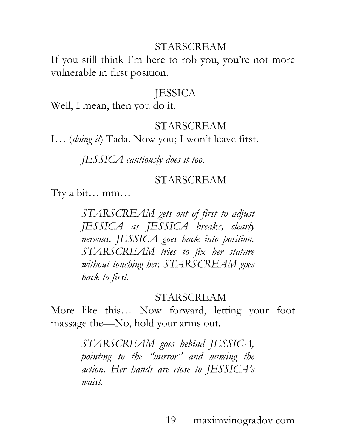#### STARSCREAM

If you still think I'm here to rob you, you're not more vulnerable in first position.

#### JESSICA

Well, I mean, then you do it.

#### STARSCREAM

I… (*doing it*) Tada. Now you; I won't leave first.

*JESSICA cautiously does it too.*

#### STARSCREAM

Try a bit… mm…

*STARSCREAM gets out of first to adjust JESSICA as JESSICA breaks, clearly nervous. JESSICA goes back into position. STARSCREAM tries to fix her stature without touching her. STARSCREAM goes back to first.*

STARSCREAM

More like this… Now forward, letting your foot massage the—No, hold your arms out.

> *STARSCREAM goes behind JESSICA, pointing to the "mirror" and miming the action. Her hands are close to JESSICA's waist.*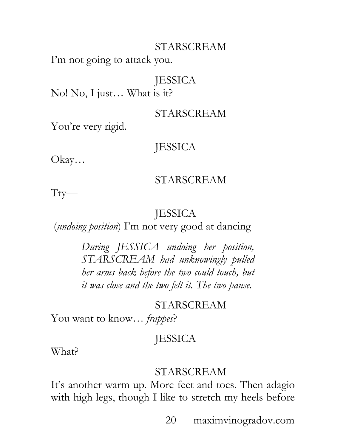#### STARSCREAM

I'm not going to attack you.

## **JESSICA**

No! No, I just… What is it?

#### STARSCREAM

You're very rigid.

## JESSICA

Okay…

#### STARSCREAM

Try—

## **IESSICA**

(*undoing position*) I'm not very good at dancing

*During JESSICA undoing her position, STARSCREAM had unknowingly pulled her arms back before the two could touch, but it was close and the two felt it. The two pause.*

## STARSCREAM

You want to know… *frappes*?

# **JESSICA**

What?

#### STARSCREAM

It's another warm up. More feet and toes. Then adagio with high legs, though I like to stretch my heels before